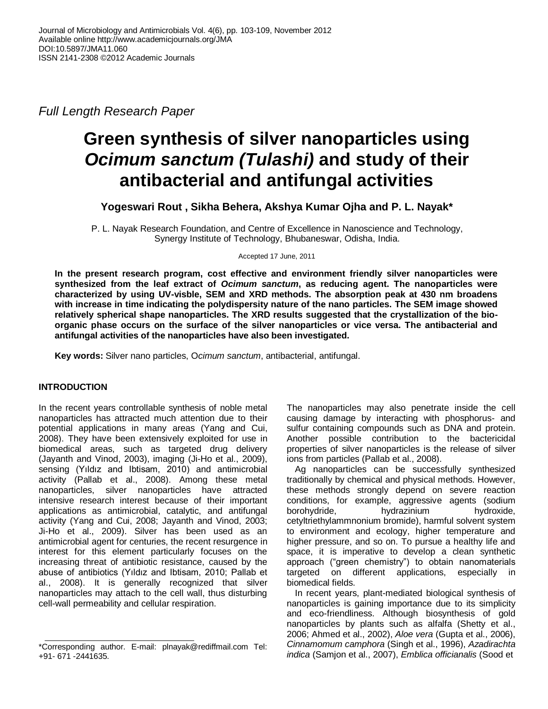*Full Length Research Paper*

# **Green synthesis of silver nanoparticles using**  *Ocimum sanctum (Tulashi)* **and study of their antibacterial and antifungal activities**

**Yogeswari Rout , Sikha Behera, Akshya Kumar Ojha and P. L. Nayak\***

P. L. Nayak Research Foundation, and Centre of Excellence in Nanoscience and Technology, Synergy Institute of Technology, Bhubaneswar, Odisha, India.

Accepted 17 June, 2011

**In the present research program, cost effective and environment friendly silver nanoparticles were synthesized from the leaf extract of** *Ocimum sanctum***, as reducing agent. The nanoparticles were characterized by using UV-visble, SEM and XRD methods. The absorption peak at 430 nm broadens with increase in time indicating the polydispersity nature of the nano particles. The SEM image showed relatively spherical shape nanoparticles. The XRD results suggested that the crystallization of the bioorganic phase occurs on the surface of the silver nanoparticles or vice versa. The antibacterial and antifungal activities of the nanoparticles have also been investigated.**

**Key words:** Silver nano particles, O*cimum sanctum*, antibacterial, antifungal.

# **INTRODUCTION**

In the recent years controllable synthesis of noble metal nanoparticles has attracted much attention due to their potential applications in many areas (Yang and Cui, 2008). They have been extensively exploited for use in biomedical areas, such as targeted drug delivery (Jayanth and Vinod, 2003), imaging (Ji-Ho et al., 2009), sensing (Yıldız and Ibtisam, 2010) and antimicrobial activity (Pallab et al., 2008). Among these metal nanoparticles, silver nanoparticles have attracted intensive research interest because of their important applications as antimicrobial, catalytic, and antifungal activity (Yang and Cui, 2008; Jayanth and Vinod, 2003; Ji-Ho et al., 2009). Silver has been used as an antimicrobial agent for centuries, the recent resurgence in interest for this element particularly focuses on the increasing threat of antibiotic resistance, caused by the abuse of antibiotics (Yıldız and Ibtisam, 2010; Pallab et al., 2008). It is generally recognized that silver nanoparticles may attach to the cell wall, thus disturbing cell-wall permeability and cellular respiration.

The nanoparticles may also penetrate inside the cell causing damage by interacting with phosphorus- and sulfur containing compounds such as DNA and protein. Another possible contribution to the bactericidal properties of silver nanoparticles is the release of silver ions from particles (Pallab et al., 2008).

Ag nanoparticles can be successfully synthesized traditionally by chemical and physical methods. However, these methods strongly depend on severe reaction conditions, for example, aggressive agents (sodium borohydride, hydrazinium hydroxide, cetyltriethylammnonium bromide), harmful solvent system to environment and ecology, higher temperature and higher pressure, and so on. To pursue a healthy life and space, it is imperative to develop a clean synthetic approach ("green chemistry") to obtain nanomaterials targeted on different applications, especially in biomedical fields.

In recent years, plant-mediated biological synthesis of nanoparticles is gaining importance due to its simplicity and eco-friendliness. Although biosynthesis of gold nanoparticles by plants such as alfalfa (Shetty et al., 2006; Ahmed et al., 2002), *Aloe vera* (Gupta et al., 2006), *Cinnamomum camphora* (Singh et al., 1996), *Azadirachta indica* (Samjon et al., 2007), *Emblica officianalis* (Sood et

<sup>\*</sup>Corresponding author. E-mail: plnayak@rediffmail.com Tel: +91- 671 -2441635.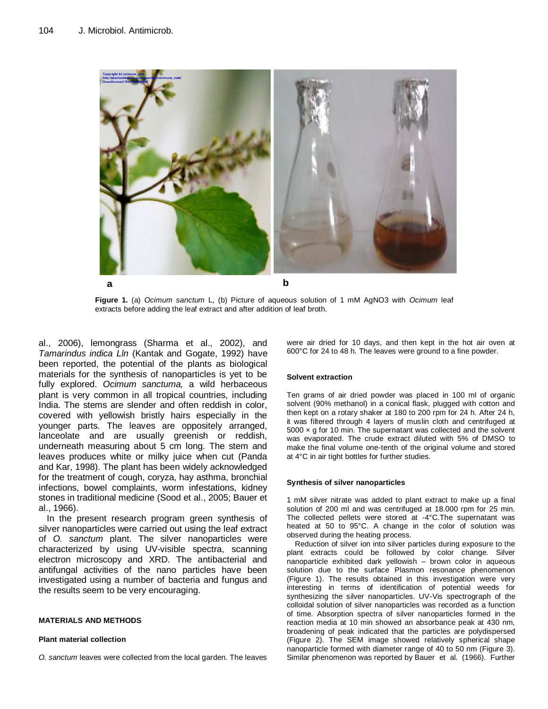

**Figure 1.** (a) *Ocimum sanctum* L, (b) Picture of aqueous solution of 1 mM AgNO3 with *Ocimum* leaf extracts before adding the leaf extract and after addition of leaf broth.

al., 2006), lemongrass (Sharma et al., 2002), and *Tamarindus indica Lln* (Kantak and Gogate, 1992) have been reported, the potential of the plants as biological materials for the synthesis of nanoparticles is yet to be fully explored. *Ocimum sanctuma,* a wild herbaceous plant is very common in all tropical countries, including India. The stems are slender and often reddish in color, covered with yellowish bristly hairs especially in the younger parts. The leaves are oppositely arranged, lanceolate and are usually greenish or reddish, underneath measuring about 5 cm long. The stem and leaves produces white or milky juice when cut (Panda and Kar, 1998). The plant has been widely acknowledged for the treatment of cough, coryza, hay asthma, bronchial infections, bowel complaints, worm infestations, kidney stones in traditional medicine (Sood et al., 2005; Bauer et al., 1966).

In the present research program green synthesis of silver nanoparticles were carried out using the leaf extract of *O. sanctum* plant. The silver nanoparticles were characterized by using UV-visible spectra, scanning electron microscopy and XRD. The antibacterial and antifungal activities of the nano particles have been investigated using a number of bacteria and fungus and the results seem to be very encouraging.

#### **MATERIALS AND METHODS**

#### **Plant material collection**

*O. sanctum* leaves were collected from the local garden. The leaves

were air dried for 10 days, and then kept in the hot air oven at 600°C for 24 to 48 h. The leaves were ground to a fine powder.

#### **Solvent extraction**

Ten grams of air dried powder was placed in 100 ml of organic solvent (90% methanol) in a conical flask, plugged with cotton and then kept on a rotary shaker at 180 to 200 rpm for 24 h. After 24 h, it was filtered through 4 layers of muslin cloth and centrifuged at  $5000 \times q$  for 10 min. The supernatant was collected and the solvent was evaporated. The crude extract diluted with 5% of DMSO to make the final volume one-tenth of the original volume and stored at 4°C in air tight bottles for further studies.

#### **Synthesis of silver nanoparticles**

1 mM silver nitrate was added to plant extract to make up a final solution of 200 ml and was centrifuged at 18.000 rpm for 25 min. The collected pellets were stored at -4°C.The supernatant was heated at 50 to 95°C. A change in the color of solution was observed during the heating process.

Reduction of silver ion into silver particles during exposure to the plant extracts could be followed by color change. Silver nanoparticle exhibited dark yellowish – brown color in aqueous solution due to the surface Plasmon resonance phenomenon (Figure 1). The results obtained in this investigation were very interesting in terms of identification of potential weeds for synthesizing the silver nanoparticles. UV-Vis spectrograph of the colloidal solution of silver nanoparticles was recorded as a function of time. Absorption spectra of silver nanoparticles formed in the reaction media at 10 min showed an absorbance peak at 430 nm, broadening of peak indicated that the particles are polydispersed (Figure 2). The SEM image showed relatively spherical shape nanoparticle formed with diameter range of 40 to 50 nm (Figure 3). Similar phenomenon was reported by Bauer et al. (1966). Further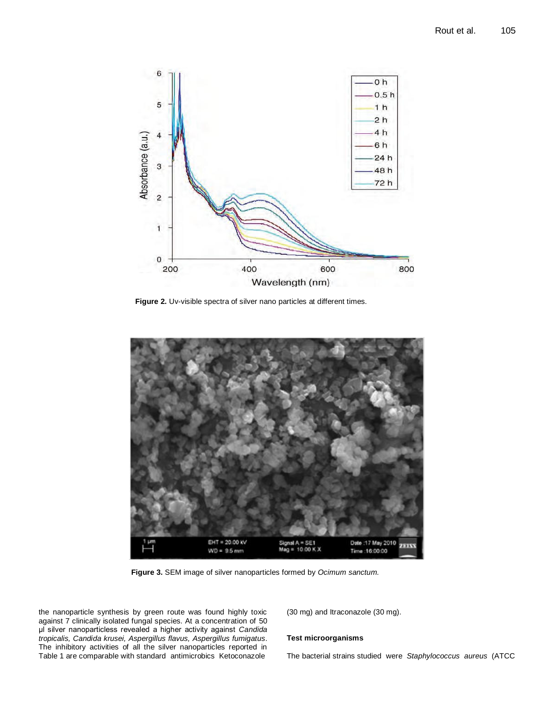

**Figure 2.** Uv-visible spectra of silver nano particles at different times.



**Figure 3.** SEM image of silver nanoparticles formed by *Ocimum sanctum.*

the nanoparticle synthesis by green route was found highly toxic against 7 clinically isolated fungal species. At a concentration of 50 μl silver nanoparticless revealed a higher activity against *Candida tropicalis, Candida krusei, Aspergillus flavus, Aspergillus fumigatus*. The inhibitory activities of all the silver nanoparticles reported in Table 1 are comparable with standard antimicrobics Ketoconazole

(30 mg) and Itraconazole (30 mg).

### **Test microorganisms**

The bacterial strains studied were *Staphylococcus aureus* (ATCC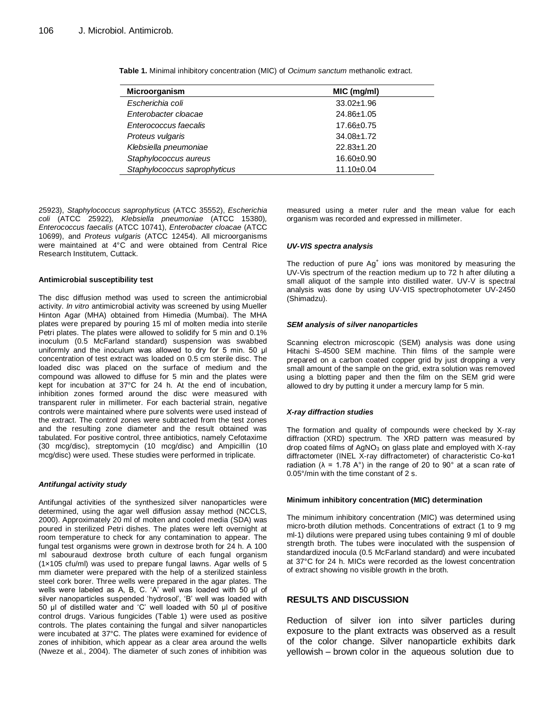| <b>Microorganism</b>         | MIC (mg/ml)      |
|------------------------------|------------------|
| Escherichia coli             | $33.02 \pm 1.96$ |
| Enterobacter cloacae         | 24.86±1.05       |
| Enterococcus faecalis        | 17.66±0.75       |
| Proteus vulgaris             | $34.08 \pm 1.72$ |
| Klebsiella pneumoniae        | $22.83 \pm 1.20$ |
| Staphylococcus aureus        | 16.60±0.90       |
| Staphylococcus saprophyticus | 11.10±0.04       |

**Table 1.** Minimal inhibitory concentration (MIC) of *Ocimum sanctum* methanolic extract.

25923), *Staphylococcus saprophyticus* (ATCC 35552), *Escherichia coli* (ATCC 25922)*, Klebsiella pneumoniae* (ATCC 15380)*, Enterococcus faecalis* (ATCC 10741)*, Enterobacter cloacae* (ATCC 10699), and *Proteus vulgaris* (ATCC 12454). All microorganisms were maintained at 4°C and were obtained from Central Rice Research Institutem, Cuttack.

#### **Antimicrobial susceptibility test**

The disc diffusion method was used to screen the antimicrobial activity. *In vitro* antimicrobial activity was screened by using Mueller Hinton Agar (MHA) obtained from Himedia (Mumbai). The MHA plates were prepared by pouring 15 ml of molten media into sterile Petri plates. The plates were allowed to solidify for 5 min and 0.1% inoculum (0.5 McFarland standard) suspension was swabbed uniformly and the inoculum was allowed to dry for 5 min. 50 μl concentration of test extract was loaded on 0.5 cm sterile disc. The loaded disc was placed on the surface of medium and the compound was allowed to diffuse for 5 min and the plates were kept for incubation at 37°C for 24 h. At the end of incubation, inhibition zones formed around the disc were measured with transparent ruler in millimeter. For each bacterial strain, negative controls were maintained where pure solvents were used instead of the extract. The control zones were subtracted from the test zones and the resulting zone diameter and the result obtained was tabulated. For positive control, three antibiotics, namely Cefotaxime (30 mcg/disc), streptomycin (10 mcg/disc) and Ampicillin (10 mcg/disc) were used. These studies were performed in triplicate.

#### *Antifungal activity study*

Antifungal activities of the synthesized silver nanoparticles were determined, using the agar well diffusion assay method (NCCLS, 2000). Approximately 20 ml of molten and cooled media (SDA) was poured in sterilized Petri dishes. The plates were left overnight at room temperature to check for any contamination to appear. The fungal test organisms were grown in dextrose broth for 24 h. A 100 ml sabouraud dextrose broth culture of each fungal organism (1×105 cfu/ml) was used to prepare fungal lawns. Agar wells of 5 mm diameter were prepared with the help of a sterilized stainless steel cork borer. Three wells were prepared in the agar plates. The wells were labeled as A, B, C. 'A' well was loaded with 50 μl of silver nanoparticles suspended 'hydrosol', 'B' well was loaded with 50 μl of distilled water and 'C' well loaded with 50 μl of positive control drugs. Various fungicides (Table 1) were used as positive controls. The plates containing the fungal and silver nanoparticles were incubated at 37°C. The plates were examined for evidence of zones of inhibition, which appear as a clear area around the wells (Nweze et al., 2004). The diameter of such zones of inhibition was measured using a meter ruler and the mean value for each organism was recorded and expressed in millimeter.

#### *UV-VIS spectra analysis*

The reduction of pure  $Ag<sup>+</sup>$  ions was monitored by measuring the UV-Vis spectrum of the reaction medium up to 72 h after diluting a small aliquot of the sample into distilled water. UV-V is spectral analysis was done by using UV-VIS spectrophotometer UV-2450 (Shimadzu).

#### *SEM analysis of silver nanoparticles*

Scanning electron microscopic (SEM) analysis was done using Hitachi S-4500 SEM machine. Thin films of the sample were prepared on a carbon coated copper grid by just dropping a very small amount of the sample on the grid, extra solution was removed using a blotting paper and then the film on the SEM grid were allowed to dry by putting it under a mercury lamp for 5 min.

#### *X-ray diffraction studies*

The formation and quality of compounds were checked by X-ray diffraction (XRD) spectrum. The XRD pattern was measured by drop coated films of  $AgNO<sub>3</sub>$  on glass plate and employed with X-ray diffractometer (INEL X-ray diffractometer) of characteristic Co-kα1 radiation ( $\lambda$  = 1.78 A°) in the range of 20 to 90° at a scan rate of 0.05°/min with the time constant of 2 s.

#### **Minimum inhibitory concentration (MIC) determination**

The minimum inhibitory concentration (MIC) was determined using micro-broth dilution methods. Concentrations of extract (1 to 9 mg ml-1) dilutions were prepared using tubes containing 9 ml of double strength broth. The tubes were inoculated with the suspension of standardized inocula (0.5 McFarland standard) and were incubated at 37°C for 24 h. MICs were recorded as the lowest concentration of extract showing no visible growth in the broth.

## **RESULTS AND DISCUSSION**

Reduction of silver ion into silver particles during exposure to the plant extracts was observed as a result of the color change. Silver nanoparticle exhibits dark yellowish – brown color in the aqueous solution due to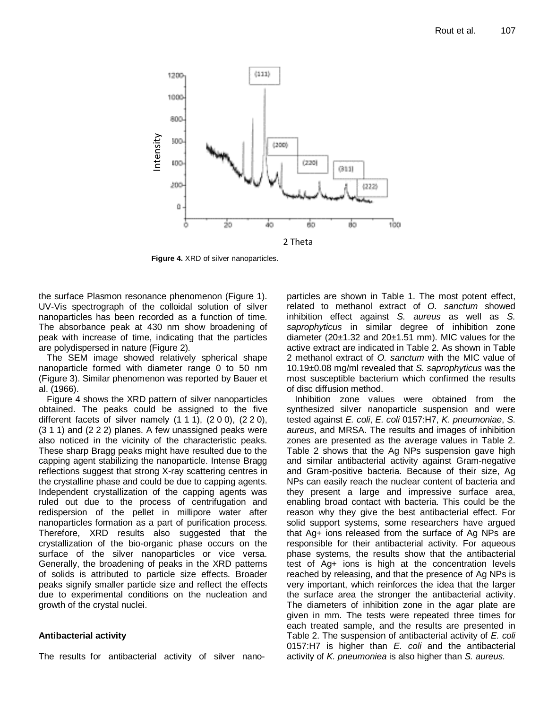

**Figure 4.** XRD of silver nanoparticles.

the surface Plasmon resonance phenomenon (Figure 1). UV-Vis spectrograph of the colloidal solution of silver nanoparticles has been recorded as a function of time. The absorbance peak at 430 nm show broadening of peak with increase of time, indicating that the particles are polydispersed in nature (Figure 2).

The SEM image showed relatively spherical shape nanoparticle formed with diameter range 0 to 50 nm (Figure 3). Similar phenomenon was reported by Bauer et al. (1966).

Figure 4 shows the XRD pattern of silver nanoparticles obtained. The peaks could be assigned to the five different facets of silver namely  $(1 1 1)$ ,  $(2 0 0)$ ,  $(2 2 0)$ , (3 1 1) and (2 2 2) planes. A few unassigned peaks were also noticed in the vicinity of the characteristic peaks. These sharp Bragg peaks might have resulted due to the capping agent stabilizing the nanoparticle. Intense Bragg reflections suggest that strong X-ray scattering centres in the crystalline phase and could be due to capping agents. Independent crystallization of the capping agents was ruled out due to the process of centrifugation and redispersion of the pellet in millipore water after nanoparticles formation as a part of purification process. Therefore, XRD results also suggested that the crystallization of the bio-organic phase occurs on the surface of the silver nanoparticles or vice versa. Generally, the broadening of peaks in the XRD patterns of solids is attributed to particle size effects. Broader peaks signify smaller particle size and reflect the effects due to experimental conditions on the nucleation and growth of the crystal nucl[ei.](file:///C:/Documents%20and%20Settings/babu/Desktop/LIPIKA/science.htm%23bib0175)

## **Antibacterial activity**

The results for antibacterial activity of silver nano-

particles are shown in Table 1. The most potent effect, related to methanol extract of *O. sanctum* showed inhibition effect against *S. aureus* as well as *S. saprophyticus* in similar degree of inhibition zone diameter  $(20\pm1.32$  and  $20\pm1.51$  mm). MIC values for the active extract are indicated in Table 2. As shown in Table 2 methanol extract of *O. sanctum* with the MIC value of 10.19±0.08 mg/ml revealed that *S. saprophyticus* was the most susceptible bacterium which confirmed the results of disc diffusion method.

Inhibition zone values were obtained from the synthesized silver nanoparticle suspension and were tested against *E. coli*, *E. coli* 0157:H7, *K. pneumoniae*, *S. aureus*, and MRSA. The results and images of inhibition zones are presented as the average values in Table 2. Table 2 shows that the Ag NPs suspension gave high and similar antibacterial activity against Gram-negative and Gram-positive bacteria. Because of their size, Ag NPs can easily reach the nuclear content of bacteria and they present a large and impressive surface area, enabling broad contact with bacteria. This could be the reason why they give the best antibacterial effect. For solid support systems, some researchers have argued that Ag+ ions released from the surface of Ag NPs are responsible for their antibacterial activity. For aqueous phase systems, the results show that the antibacterial test of Ag+ ions is high at the concentration levels reached by releasing, and that the presence of Ag NPs is very important, which reinforces the idea that the larger the surface area the stronger the antibacterial activity. The diameters of inhibition zone in the agar plate are given in mm. The tests were repeated three times for each treated sample, and the results are presented in Table 2. The suspension of antibacterial activity of *E. coli* 0157:H7 is higher than *E. coli* and the antibacterial activity of *K. pneumoniea* is also higher than *S. aureus.*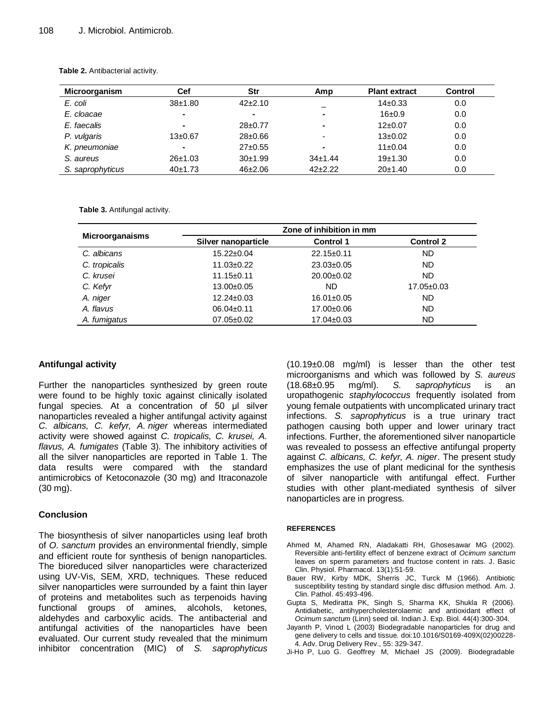| <b>Microorganism</b> | Cef            | Str           | Amp           | <b>Plant extract</b> | <b>Control</b> |
|----------------------|----------------|---------------|---------------|----------------------|----------------|
| E. coli              | $38+1.80$      | $42+2.10$     |               | $14\pm0.33$          | 0.0            |
| E. cloacae           | ۰              | ۰             | ۰             | 16±0.9               | 0.0            |
| E. faecalis          |                | $28+0.77$     | -             | $12\pm0.07$          | 0.0            |
| P. vulgaris          | $13\pm0.67$    | $28 \pm 0.66$ | -             | $13\pm0.02$          | 0.0            |
| K. pneumoniae        | $\blacksquare$ | $27+0.55$     |               | $11\pm0.04$          | 0.0            |
| S. aureus            | 26±1.03        | 30±1.99       | $34 \pm 1.44$ | 19±1.30              | 0.0            |
| S. saprophyticus     | 40±1.73        | $46 + 2.06$   | $42 + 2.22$   | 20±1.40              | 0.0            |

**Table 2.** Antibacterial activity.

**Table 3.** Antifungal activity.

|                        | Zone of inhibition in mm   |                  |                  |  |
|------------------------|----------------------------|------------------|------------------|--|
| <b>Microorganaisms</b> | <b>Silver nanoparticle</b> | <b>Control 1</b> | <b>Control 2</b> |  |
| C. albicans            | $15.22 \pm 0.04$           | $22.15 \pm 0.11$ | <b>ND</b>        |  |
| C. tropicalis          | $11.03 \pm 0.22$           | $23.03 \pm 0.05$ | <b>ND</b>        |  |
| C. krusei              | $11.15 \pm 0.11$           | $20.00 \pm 0.02$ | <b>ND</b>        |  |
| C. Kefyr               | $13.00 \pm 0.05$           | ND.              | $17.05 \pm 0.03$ |  |
| A. niger               | $12.24 \pm 0.03$           | $16.01 \pm 0.05$ | ND               |  |
| A. flavus              | $06.04 \pm 0.11$           | 17.00±0.06       | <b>ND</b>        |  |
| A. fumigatus           | $07.05 \pm 0.02$           | $17.04 \pm 0.03$ | <b>ND</b>        |  |

# **Antifungal activity**

Further the nanoparticles synthesized by green route were found to be highly toxic against clinically isolated fungal species. At a concentration of 50 μl silver nanoparticles revealed a higher antifungal activity against *C. albicans, C. kefyr, A. niger* whereas intermediated activity were showed against *C. tropicalis, C. krusei, A. flavus, A. fumigates* (Table 3). The inhibitory activities of all the silver nanoparticles are reported in Table 1. The data results were compared with the standard antimicrobics of Ketoconazole (30 mg) and Itraconazole (30 mg).

## **Conclusion**

The biosynthesis of silver nanoparticles using leaf broth of *O. sanctum* provides an environmental friendly, simple and efficient route for synthesis of benign nanoparticles. The bioreduced silver nanoparticles were characterized using UV-Vis, SEM, XRD, techniques. These reduced silver nanoparticles were surrounded by a faint thin layer of proteins and metabolites such as terpenoids having functional groups of amines, alcohols, ketones, aldehydes and carboxylic acids. The antibacterial and antifungal activities of the nanoparticles have been evaluated. Our current study revealed that the minimum inhibitor concentration (MIC) of *S. saprophyticus*  (10.19±0.08 mg/ml) is lesser than the other test microorganisms and which was followed by *S. aureus*  (18.68±0.95 mg/ml). *S. saprophyticus* is an uropathogenic *staphylococcus* frequently isolated from young female outpatients with uncomplicated urinary tract infections. *S. saprophyticus* is a true urinary tract pathogen causing both upper and lower urinary tract infections. Further, the aforementioned silver nanoparticle was revealed to possess an effective antifungal property against *C. albicans, C. kefyr, A. niger*. The present study emphasizes the use of plant medicinal for the synthesis of silver nanoparticle with antifungal effect. Further studies with other plant-mediated synthesis of silver nanoparticles are in progress.

## **REFERENCES**

- Ahmed M, Ahamed RN, Aladakatti RH, Ghosesawar MG (2002). Reversible anti-fertility effect of benzene extract of *Ocimum sanctum*  leaves on sperm parameters and fructose content in rats. J. Basic Clin. Physiol. Pharmacol. 13(1):51-59.
- Bauer RW, Kirby MDK, Sherris JC, Turck M (1966). Antibiotic susceptibility testing by standard single disc diffusion method. Am. J. Clin. Pathol. 45:493-496.
- Gupta S, Mediratta PK, Singh S, Sharma KK, Shukla R (2006). Antidiabetic, antihypercholesterolaemic and antioxidant effect of *Ocimum sanctum* (Linn) seed oil. Indian J. Exp. Biol. 44(4):300-304.
- Jayanth P, Vinod L (2003) Biodegradable nanoparticles for drug and gene delivery to cells and tissue. doi:10.1016/S0169-409X(02)00228- 4. Adv. Drug Delivery Rev., 55: 329-347.
- Ji-Ho P, Luo G. Geoffrey M, Michael JS (2009). Biodegradable